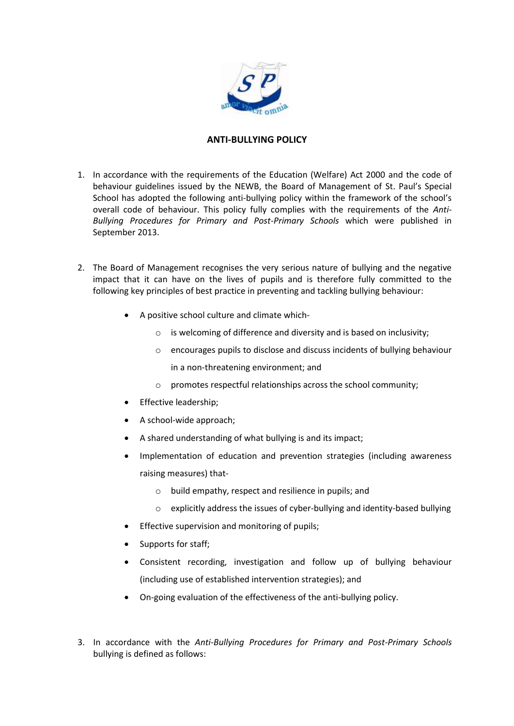

## **ANTI-BULLYING POLICY**

- 1. In accordance with the requirements of the Education (Welfare) Act 2000 and the code of behaviour guidelines issued by the NEWB, the Board of Management of St. Paul's Special School has adopted the following anti-bullying policy within the framework of the school's overall code of behaviour. This policy fully complies with the requirements of the *Anti-Bullying Procedures for Primary and Post-Primary Schools* which were published in September 2013.
- 2. The Board of Management recognises the very serious nature of bullying and the negative impact that it can have on the lives of pupils and is therefore fully committed to the following key principles of best practice in preventing and tackling bullying behaviour:
	- A positive school culture and climate which
		- o is welcoming of difference and diversity and is based on inclusivity;
		- o encourages pupils to disclose and discuss incidents of bullying behaviour in a non-threatening environment; and
		- o promotes respectful relationships across the school community;
	- Effective leadership;
	- A school-wide approach;
	- A shared understanding of what bullying is and its impact;
	- Implementation of education and prevention strategies (including awareness raising measures) that
		- o build empathy, respect and resilience in pupils; and
		- o explicitly address the issues of cyber-bullying and identity-based bullying
	- Effective supervision and monitoring of pupils;
	- Supports for staff;
	- Consistent recording, investigation and follow up of bullying behaviour (including use of established intervention strategies); and
	- On-going evaluation of the effectiveness of the anti-bullying policy.
- 3. In accordance with the *Anti-Bullying Procedures for Primary and Post-Primary Schools* bullying is defined as follows: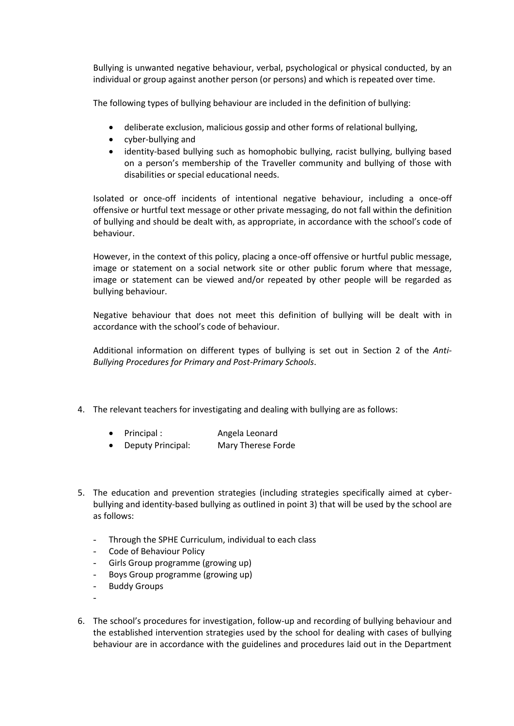Bullying is unwanted negative behaviour, verbal, psychological or physical conducted, by an individual or group against another person (or persons) and which is repeated over time.

The following types of bullying behaviour are included in the definition of bullying:

- deliberate exclusion, malicious gossip and other forms of relational bullying,
- cyber-bullying and
- identity-based bullying such as homophobic bullying, racist bullying, bullying based on a person's membership of the Traveller community and bullying of those with disabilities or special educational needs.

Isolated or once-off incidents of intentional negative behaviour, including a once-off offensive or hurtful text message or other private messaging, do not fall within the definition of bullying and should be dealt with, as appropriate, in accordance with the school's code of behaviour.

However, in the context of this policy, placing a once-off offensive or hurtful public message, image or statement on a social network site or other public forum where that message, image or statement can be viewed and/or repeated by other people will be regarded as bullying behaviour.

Negative behaviour that does not meet this definition of bullying will be dealt with in accordance with the school's code of behaviour.

Additional information on different types of bullying is set out in Section 2 of the *Anti-Bullying Procedures for Primary and Post-Primary Schools*.

- 4. The relevant teachers for investigating and dealing with bullying are as follows:
	- Principal : Angela Leonard
	- Deputy Principal: Mary Therese Forde
- 5. The education and prevention strategies (including strategies specifically aimed at cyberbullying and identity-based bullying as outlined in point 3) that will be used by the school are as follows:
	- Through the SPHE Curriculum, individual to each class
	- Code of Behaviour Policy
	- Girls Group programme (growing up)
	- Boys Group programme (growing up)
	- **Buddy Groups**

-

6. The school's procedures for investigation, follow-up and recording of bullying behaviour and the established intervention strategies used by the school for dealing with cases of bullying behaviour are in accordance with the guidelines and procedures laid out in the Department